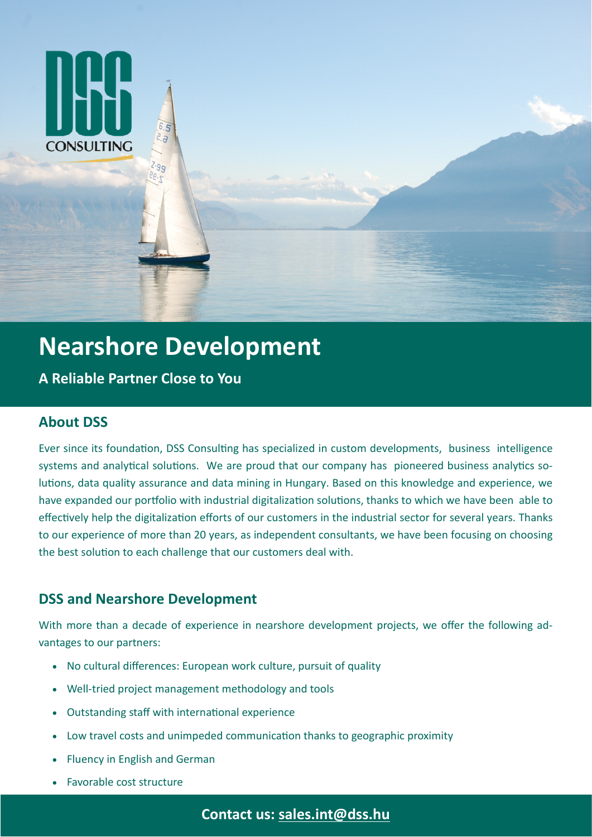

# **Nearshore Development**

**A Reliable Partner Close to You**

# **About DSS**

Ever since its foundation, DSS Consulting has specialized in custom developments, business intelligence systems and analytical solutions. We are proud that our company has pioneered business analytics solutions, data quality assurance and data mining in Hungary. Based on this knowledge and experience, we have expanded our portfolio with industrial digitalization solutions, thanks to which we have been able to effectively help the digitalization efforts of our customers in the industrial sector for several years. Thanks to our experience of more than 20 years, as independent consultants, we have been focusing on choosing the best solution to each challenge that our customers deal with.

## **DSS and Nearshore Development**

With more than a decade of experience in nearshore development projects, we offer the following advantages to our partners:

- No cultural differences: European work culture, pursuit of quality
- Well-tried project management methodology and tools
- Outstanding staff with international experience
- Low travel costs and unimpeded communication thanks to geographic proximity
- Fluency in English and German
- Favorable cost structure

**Contact us: [sales.int@dss.hu](mailto:sales.int@dss.hu)**